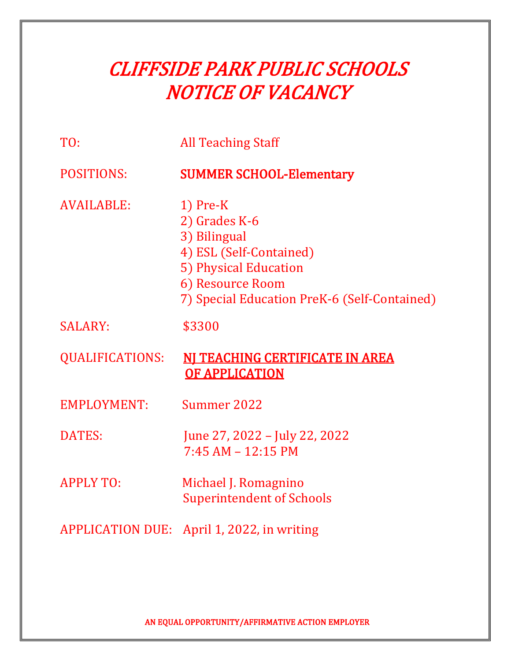| TO:                     | <b>All Teaching Staff</b>                                                                                                                                           |
|-------------------------|---------------------------------------------------------------------------------------------------------------------------------------------------------------------|
| <b>POSITIONS:</b>       | <b>SUMMER SCHOOL-Elementary</b>                                                                                                                                     |
| <b>AVAILABLE:</b>       | $1)$ Pre-K<br>2) Grades K-6<br>3) Bilingual<br>4) ESL (Self-Contained)<br>5) Physical Education<br>6) Resource Room<br>7) Special Education PreK-6 (Self-Contained) |
| <b>SALARY:</b>          | \$3300                                                                                                                                                              |
| <b>QUALIFICATIONS:</b>  | NI TEACHING CERTIFICATE IN AREA<br><b>OF APPLICATION</b>                                                                                                            |
| EMPLOYMENT:             | Summer 2022                                                                                                                                                         |
| <b>DATES:</b>           | June 27, 2022 - July 22, 2022<br>$7:45 AM - 12:15 PM$                                                                                                               |
| <b>APPLY TO:</b>        | Michael J. Romagnino<br><b>Superintendent of Schools</b>                                                                                                            |
| <b>APPLICATION DUE:</b> | April 1, 2022, in writing                                                                                                                                           |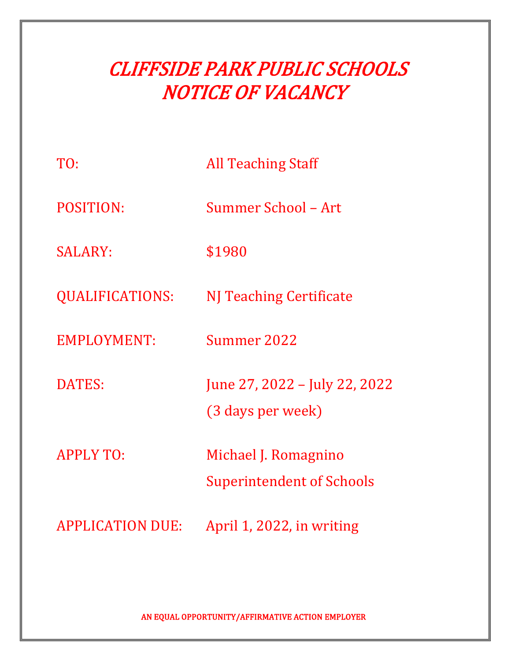| TO:                     | <b>All Teaching Staff</b>                                |
|-------------------------|----------------------------------------------------------|
| <b>POSITION:</b>        | Summer School - Art                                      |
| <b>SALARY:</b>          | \$1980                                                   |
| <b>QUALIFICATIONS:</b>  | NJ Teaching Certificate                                  |
| <b>EMPLOYMENT:</b>      | Summer 2022                                              |
| DATES:                  | June 27, 2022 – July 22, 2022<br>(3 days per week)       |
| <b>APPLY TO:</b>        | Michael J. Romagnino<br><b>Superintendent of Schools</b> |
| <b>APPLICATION DUE:</b> | April 1, 2022, in writing                                |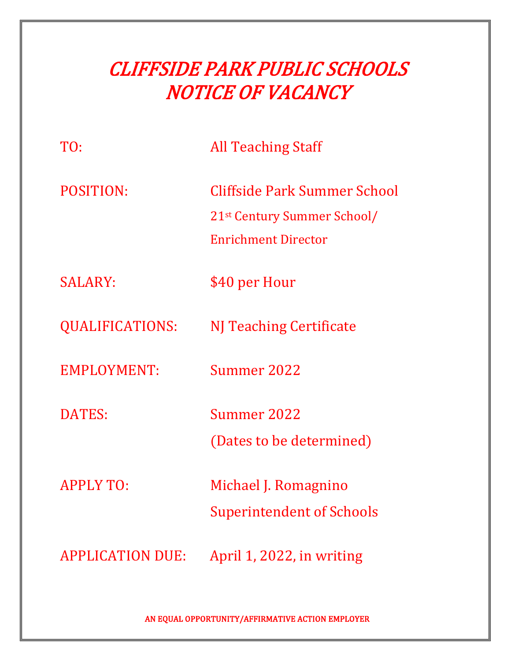| TO:                     | <b>All Teaching Staff</b>                                                                             |
|-------------------------|-------------------------------------------------------------------------------------------------------|
| POSITION:               | Cliffside Park Summer School<br>21 <sup>st</sup> Century Summer School/<br><b>Enrichment Director</b> |
| <b>SALARY:</b>          | \$40 per Hour                                                                                         |
| <b>QUALIFICATIONS:</b>  | NJ Teaching Certificate                                                                               |
| <b>EMPLOYMENT:</b>      | Summer 2022                                                                                           |
| <b>DATES:</b>           | <b>Summer 2022</b><br>(Dates to be determined)                                                        |
| <b>APPLY TO:</b>        | Michael J. Romagnino<br><b>Superintendent of Schools</b>                                              |
| <b>APPLICATION DUE:</b> | April 1, 2022, in writing                                                                             |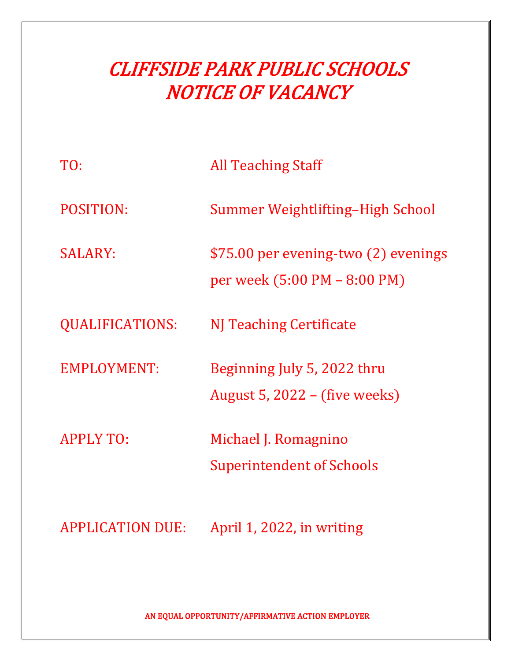| TO:                     | <b>All Teaching Staff</b>                                            |
|-------------------------|----------------------------------------------------------------------|
| <b>POSITION:</b>        | Summer Weightlifting-High School                                     |
| <b>SALARY:</b>          | \$75.00 per evening-two (2) evenings<br>per week (5:00 PM – 8:00 PM) |
| <b>QUALIFICATIONS:</b>  | NJ Teaching Certificate                                              |
| <b>EMPLOYMENT:</b>      | Beginning July 5, 2022 thru<br>August 5, $2022 -$ (five weeks)       |
| <b>APPLY TO:</b>        | Michael J. Romagnino<br>Superintendent of Schools                    |
| <b>APPLICATION DUE:</b> | April 1, 2022, in writing                                            |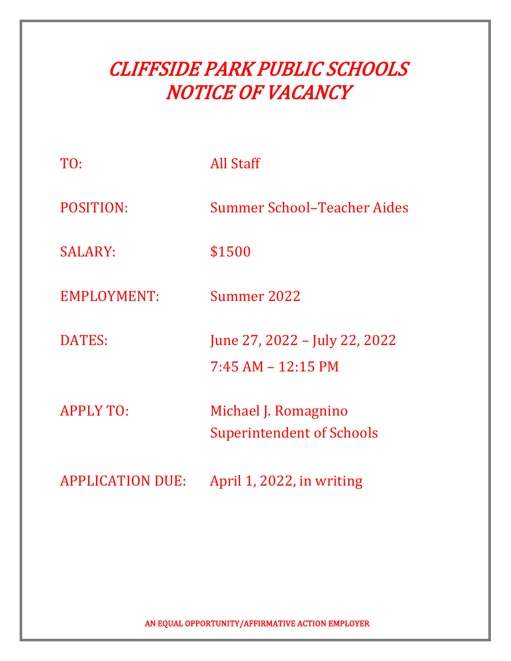| TO:                     | All Staff                                                |
|-------------------------|----------------------------------------------------------|
| POSITION:               | Summer School-Teacher Aides                              |
| <b>SALARY:</b>          | \$1500                                                   |
| <b>EMPLOYMENT:</b>      | Summer 2022                                              |
| <b>DATES:</b>           | June 27, 2022 – July 22, 2022<br>$7:45 AM - 12:15 PM$    |
| <b>APPLY TO:</b>        | Michael J. Romagnino<br><b>Superintendent of Schools</b> |
| <b>APPLICATION DUE:</b> | April 1, 2022, in writing                                |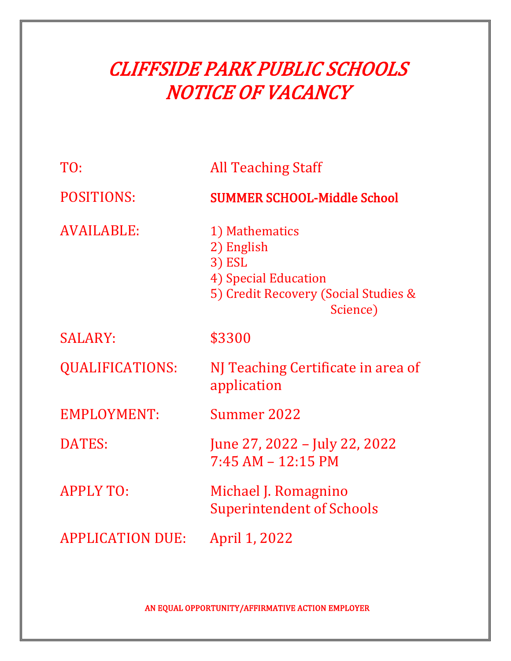| TO:                     | <b>All Teaching Staff</b>                                                                                          |
|-------------------------|--------------------------------------------------------------------------------------------------------------------|
| <b>POSITIONS:</b>       | <b>SUMMER SCHOOL-Middle School</b>                                                                                 |
| <b>AVAILABLE:</b>       | 1) Mathematics<br>2) English<br>3) ESL<br>4) Special Education<br>5) Credit Recovery (Social Studies &<br>Science) |
| <b>SALARY:</b>          | \$3300                                                                                                             |
| <b>QUALIFICATIONS:</b>  | NJ Teaching Certificate in area of<br>application                                                                  |
| <b>EMPLOYMENT:</b>      | Summer 2022                                                                                                        |
| <b>DATES:</b>           | June 27, 2022 – July 22, 2022<br>$7:45 AM - 12:15 PM$                                                              |
| <b>APPLY TO:</b>        | Michael J. Romagnino<br><b>Superintendent of Schools</b>                                                           |
| <b>APPLICATION DUE:</b> | April 1, 2022                                                                                                      |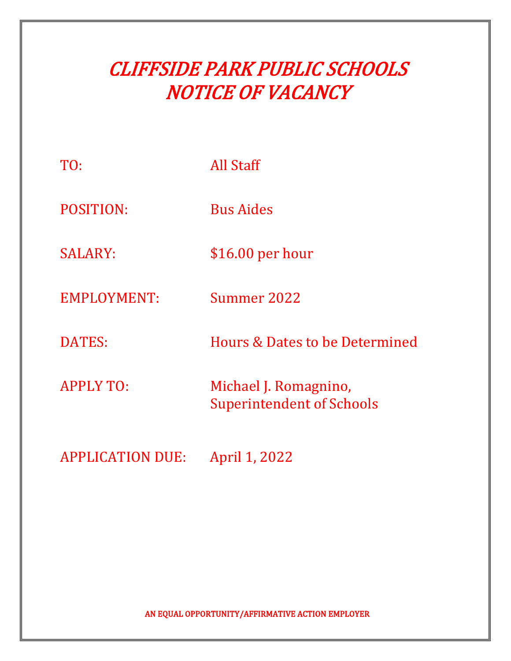| TO:                     | <b>All Staff</b>                                          |
|-------------------------|-----------------------------------------------------------|
| <b>POSITION:</b>        | <b>Bus Aides</b>                                          |
| <b>SALARY:</b>          | $$16.00$ per hour                                         |
| EMPLOYMENT:             | Summer 2022                                               |
| <b>DATES:</b>           | Hours & Dates to be Determined                            |
| <b>APPLY TO:</b>        | Michael J. Romagnino,<br><b>Superintendent of Schools</b> |
| <b>APPLICATION DUE:</b> | April 1, 2022                                             |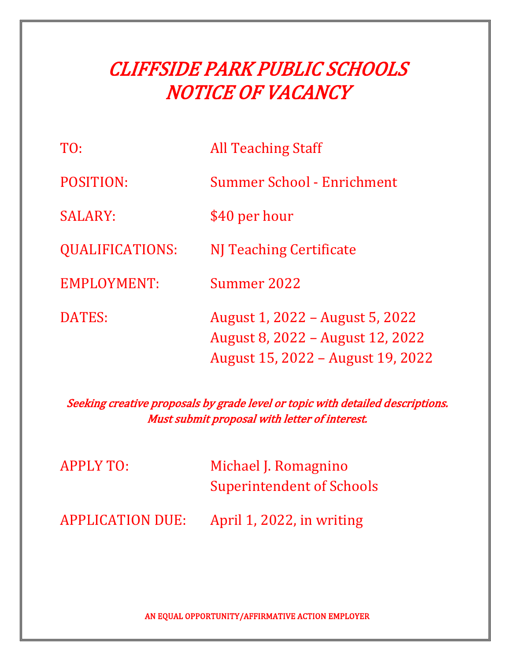| TO:                    | <b>All Teaching Staff</b>                                                                                |
|------------------------|----------------------------------------------------------------------------------------------------------|
| POSITION:              | Summer School - Enrichment                                                                               |
| <b>SALARY:</b>         | \$40 per hour                                                                                            |
| <b>QUALIFICATIONS:</b> | NJ Teaching Certificate                                                                                  |
| EMPLOYMENT:            | Summer 2022                                                                                              |
| DATES:                 | August 1, 2022 – August 5, 2022<br>August 8, 2022 – August 12, 2022<br>August 15, 2022 – August 19, 2022 |

Seeking creative proposals by grade level or topic with detailed descriptions. Must submit proposal with letter of interest.

| <b>APPLY TO:</b>        | Michael J. Romagnino<br><b>Superintendent of Schools</b> |
|-------------------------|----------------------------------------------------------|
| <b>APPLICATION DUE:</b> | April 1, 2022, in writing                                |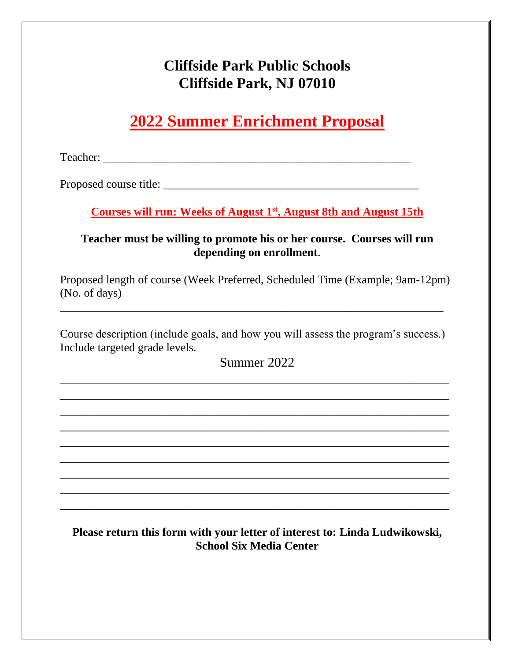### **Cliffside Park Public Schools Cliffside Park, NJ 07010**

### **2022 Summer Enrichment Proposal**

Teacher: \_\_\_\_\_\_\_\_\_\_\_\_\_\_\_\_\_\_\_\_\_\_\_\_\_\_\_\_\_\_\_\_\_\_\_\_\_\_\_\_\_\_\_\_\_\_\_\_\_\_\_\_\_

Proposed course title: \_\_\_\_\_\_\_\_\_\_\_\_\_\_\_\_\_\_\_\_\_\_\_\_\_\_\_\_\_\_\_\_\_\_\_\_\_\_\_\_\_\_\_\_

**Courses will run: Weeks of August 1st , August 8th and August 15th**

#### **Teacher must be willing to promote his or her course. Courses will run depending on enrollment**.

Proposed length of course (Week Preferred, Scheduled Time (Example; 9am-12pm) (No. of days)

Course description (include goals, and how you will assess the program's success.) Include targeted grade levels.

\_\_\_\_\_\_\_\_\_\_\_\_\_\_\_\_\_\_\_\_\_\_\_\_\_\_\_\_\_\_\_\_\_\_\_\_\_\_\_\_\_\_\_\_\_\_\_\_\_\_\_\_\_\_\_\_\_\_\_\_\_\_\_\_\_\_

Summer 2022

\_\_\_\_\_\_\_\_\_\_\_\_\_\_\_\_\_\_\_\_\_\_\_\_\_\_\_\_\_\_\_\_\_\_\_\_\_\_\_\_\_\_\_\_\_\_\_\_\_\_\_\_\_\_\_\_\_\_ \_\_\_\_\_\_\_\_\_\_\_\_\_\_\_\_\_\_\_\_\_\_\_\_\_\_\_\_\_\_\_\_\_\_\_\_\_\_\_\_\_\_\_\_\_\_\_\_\_\_\_\_\_\_\_\_\_\_ \_\_\_\_\_\_\_\_\_\_\_\_\_\_\_\_\_\_\_\_\_\_\_\_\_\_\_\_\_\_\_\_\_\_\_\_\_\_\_\_\_\_\_\_\_\_\_\_\_\_\_\_\_\_\_\_\_\_ \_\_\_\_\_\_\_\_\_\_\_\_\_\_\_\_\_\_\_\_\_\_\_\_\_\_\_\_\_\_\_\_\_\_\_\_\_\_\_\_\_\_\_\_\_\_\_\_\_\_\_\_\_\_\_\_\_\_ \_\_\_\_\_\_\_\_\_\_\_\_\_\_\_\_\_\_\_\_\_\_\_\_\_\_\_\_\_\_\_\_\_\_\_\_\_\_\_\_\_\_\_\_\_\_\_\_\_\_\_\_\_\_\_\_\_\_ \_\_\_\_\_\_\_\_\_\_\_\_\_\_\_\_\_\_\_\_\_\_\_\_\_\_\_\_\_\_\_\_\_\_\_\_\_\_\_\_\_\_\_\_\_\_\_\_\_\_\_\_\_\_\_\_\_\_ \_\_\_\_\_\_\_\_\_\_\_\_\_\_\_\_\_\_\_\_\_\_\_\_\_\_\_\_\_\_\_\_\_\_\_\_\_\_\_\_\_\_\_\_\_\_\_\_\_\_\_\_\_\_\_\_\_\_ \_\_\_\_\_\_\_\_\_\_\_\_\_\_\_\_\_\_\_\_\_\_\_\_\_\_\_\_\_\_\_\_\_\_\_\_\_\_\_\_\_\_\_\_\_\_\_\_\_\_\_\_\_\_\_\_\_\_ \_\_\_\_\_\_\_\_\_\_\_\_\_\_\_\_\_\_\_\_\_\_\_\_\_\_\_\_\_\_\_\_\_\_\_\_\_\_\_\_\_\_\_\_\_\_\_\_\_\_\_\_\_\_\_\_\_\_

### **Please return this form with your letter of interest to: Linda Ludwikowski, School Six Media Center**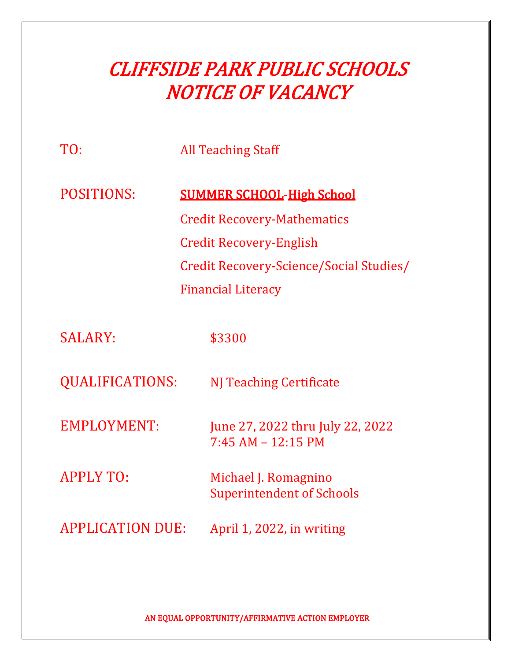| TO:                     |  | <b>All Teaching Staff</b>               |
|-------------------------|--|-----------------------------------------|
| <b>POSITIONS:</b>       |  | <b>SUMMER SCHOOL-High School</b>        |
|                         |  | <b>Credit Recovery-Mathematics</b>      |
|                         |  | <b>Credit Recovery-English</b>          |
|                         |  | Credit Recovery-Science/Social Studies/ |
|                         |  | <b>Financial Literacy</b>               |
|                         |  |                                         |
| <b>SALARY:</b>          |  | \$3300                                  |
|                         |  |                                         |
| <b>QUALIFICATIONS:</b>  |  | <b>NJ Teaching Certificate</b>          |
|                         |  |                                         |
| <b>EMPLOYMENT:</b>      |  | June 27, 2022 thru July 22, 2022        |
|                         |  | $7:45 AM - 12:15 PM$                    |
| <b>APPLY TO:</b>        |  | Michael J. Romagnino                    |
|                         |  | <b>Superintendent of Schools</b>        |
| <b>APPLICATION DUE:</b> |  | April 1, 2022, in writing               |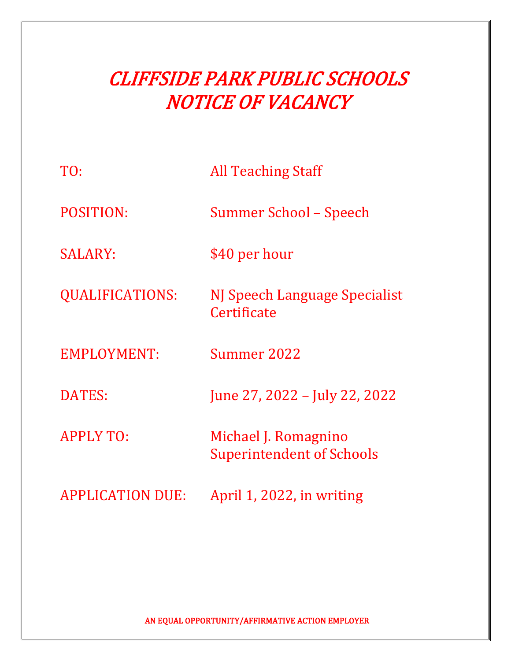| TO:                     | <b>All Teaching Staff</b>                                |
|-------------------------|----------------------------------------------------------|
| <b>POSITION:</b>        | Summer School – Speech                                   |
| <b>SALARY:</b>          | \$40 per hour                                            |
| <b>QUALIFICATIONS:</b>  | NJ Speech Language Specialist<br>Certificate             |
| EMPLOYMENT:             | Summer 2022                                              |
| <b>DATES:</b>           | June 27, 2022 - July 22, 2022                            |
| <b>APPLY TO:</b>        | Michael J. Romagnino<br><b>Superintendent of Schools</b> |
| <b>APPLICATION DUE:</b> | April 1, 2022, in writing                                |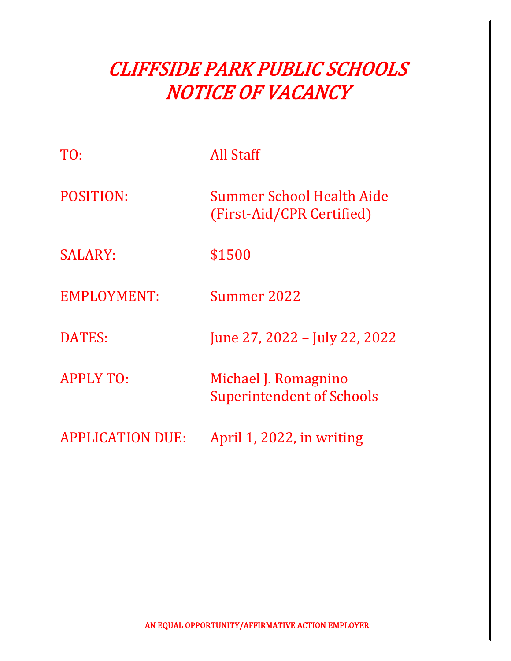| TO:                     | <b>All Staff</b>                                         |
|-------------------------|----------------------------------------------------------|
| <b>POSITION:</b>        | Summer School Health Aide<br>(First-Aid/CPR Certified)   |
| <b>SALARY:</b>          | \$1500                                                   |
| <b>EMPLOYMENT:</b>      | Summer 2022                                              |
| DATES:                  | June 27, 2022 - July 22, 2022                            |
| <b>APPLY TO:</b>        | Michael J. Romagnino<br><b>Superintendent of Schools</b> |
| <b>APPLICATION DUE:</b> | April 1, 2022, in writing                                |